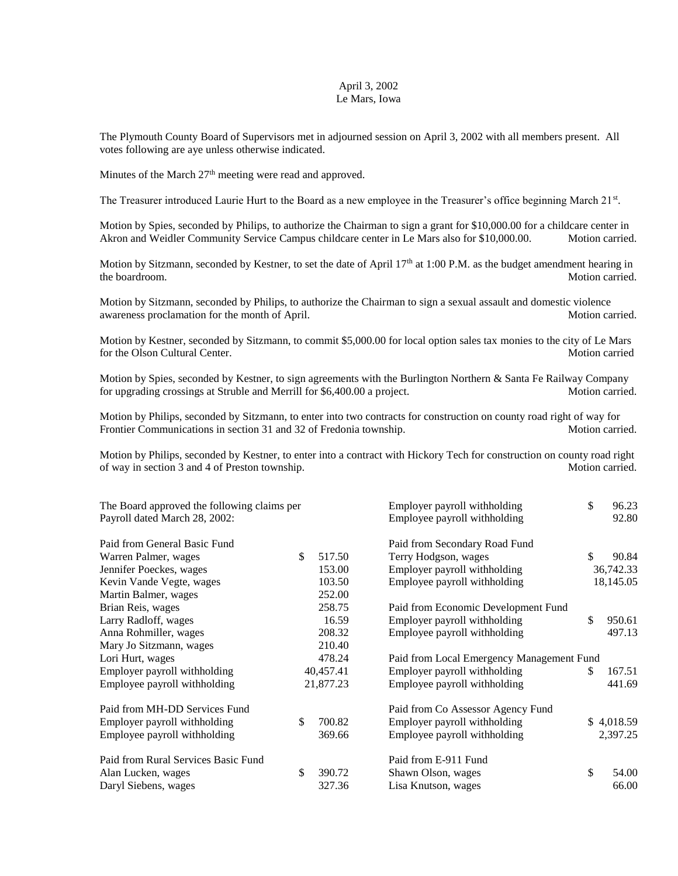## April 3, 2002 Le Mars, Iowa

The Plymouth County Board of Supervisors met in adjourned session on April 3, 2002 with all members present. All votes following are aye unless otherwise indicated.

Minutes of the March  $27<sup>th</sup>$  meeting were read and approved.

The Treasurer introduced Laurie Hurt to the Board as a new employee in the Treasurer's office beginning March 21st.

Motion by Spies, seconded by Philips, to authorize the Chairman to sign a grant for \$10,000.00 for a childcare center in Akron and Weidler Community Service Campus childcare center in Le Mars also for \$10,000.00. Motion carried.

Motion by Sitzmann, seconded by Kestner, to set the date of April 17<sup>th</sup> at 1:00 P.M. as the budget amendment hearing in the boardroom. Motion carried.

Motion by Sitzmann, seconded by Philips, to authorize the Chairman to sign a sexual assault and domestic violence awareness proclamation for the month of April. Motion carried. Motion carried.

Motion by Kestner, seconded by Sitzmann, to commit \$5,000.00 for local option sales tax monies to the city of Le Mars for the Olson Cultural Center. Motion carried

Motion by Spies, seconded by Kestner, to sign agreements with the Burlington Northern & Santa Fe Railway Company for upgrading crossings at Struble and Merrill for \$6,400.00 a project. Motion carried.

Motion by Philips, seconded by Sitzmann, to enter into two contracts for construction on county road right of way for Frontier Communications in section 31 and 32 of Fredonia township. Motion carried.

Motion by Philips, seconded by Kestner, to enter into a contract with Hickory Tech for construction on county road right of way in section 3 and 4 of Preston township. Motion carried.

| The Board approved the following claims per |              | Employer payroll withholding              | \$ | 96.23      |  |
|---------------------------------------------|--------------|-------------------------------------------|----|------------|--|
| Payroll dated March 28, 2002:               |              | Employee payroll withholding              |    | 92.80      |  |
| Paid from General Basic Fund                |              | Paid from Secondary Road Fund             |    |            |  |
| Warren Palmer, wages                        | \$<br>517.50 | Terry Hodgson, wages                      | \$ | 90.84      |  |
| Jennifer Poeckes, wages                     | 153.00       | Employer payroll withholding              |    | 36,742.33  |  |
| Kevin Vande Vegte, wages                    | 103.50       | Employee payroll withholding              |    | 18,145.05  |  |
| Martin Balmer, wages                        | 252.00       |                                           |    |            |  |
| Brian Reis, wages                           | 258.75       | Paid from Economic Development Fund       |    |            |  |
| Larry Radloff, wages                        | 16.59        | Employer payroll withholding              | \$ | 950.61     |  |
| Anna Rohmiller, wages                       | 208.32       | Employee payroll withholding              |    | 497.13     |  |
| Mary Jo Sitzmann, wages                     | 210.40       |                                           |    |            |  |
| Lori Hurt, wages                            | 478.24       | Paid from Local Emergency Management Fund |    |            |  |
| Employer payroll withholding                | 40,457.41    | Employer payroll withholding              | S  | 167.51     |  |
| Employee payroll withholding                | 21,877.23    | Employee payroll withholding              |    | 441.69     |  |
| Paid from MH-DD Services Fund               |              | Paid from Co Assessor Agency Fund         |    |            |  |
| Employer payroll withholding                | \$<br>700.82 | Employer payroll withholding              |    | \$4,018.59 |  |
| Employee payroll withholding                | 369.66       | Employee payroll withholding              |    | 2,397.25   |  |
| Paid from Rural Services Basic Fund         |              | Paid from E-911 Fund                      |    |            |  |
| Alan Lucken, wages                          | \$<br>390.72 | Shawn Olson, wages                        | \$ | 54.00      |  |
| Daryl Siebens, wages                        | 327.36       | Lisa Knutson, wages                       |    | 66.00      |  |
|                                             |              |                                           |    |            |  |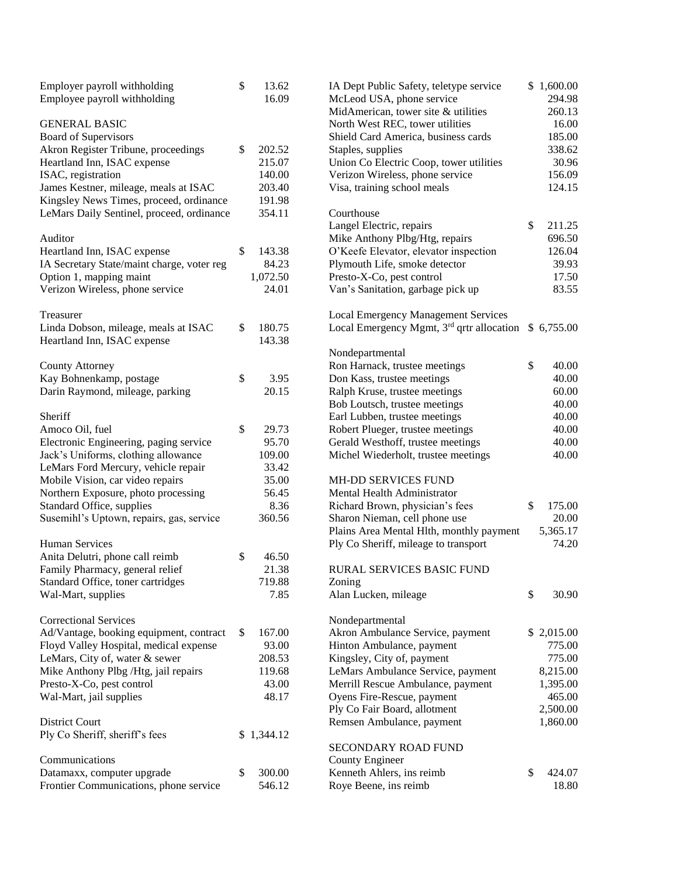| Employer payroll withholding<br>Employee payroll withholding | \$<br>13.62<br>16.09 | IA Dept Public Safety, teletype service<br>McLeod USA, phone service<br>MidAmerican, tower site & utilities | \$1,600.00<br>294.98<br>260.13 |
|--------------------------------------------------------------|----------------------|-------------------------------------------------------------------------------------------------------------|--------------------------------|
| <b>GENERAL BASIC</b>                                         |                      | North West REC, tower utilities                                                                             | 16.00                          |
| <b>Board of Supervisors</b>                                  |                      | Shield Card America, business cards                                                                         | 185.00                         |
| Akron Register Tribune, proceedings                          | \$<br>202.52         | Staples, supplies                                                                                           | 338.62                         |
| Heartland Inn, ISAC expense                                  | 215.07               | Union Co Electric Coop, tower utilities                                                                     | 30.96                          |
| ISAC, registration                                           | 140.00               | Verizon Wireless, phone service                                                                             | 156.09                         |
| James Kestner, mileage, meals at ISAC                        | 203.40               | Visa, training school meals                                                                                 | 124.15                         |
| Kingsley News Times, proceed, ordinance                      | 191.98               |                                                                                                             |                                |
| LeMars Daily Sentinel, proceed, ordinance                    | 354.11               | Courthouse                                                                                                  |                                |
|                                                              |                      | Langel Electric, repairs                                                                                    | \$<br>211.25                   |
| Auditor                                                      |                      | Mike Anthony Plbg/Htg, repairs                                                                              | 696.50                         |
| Heartland Inn, ISAC expense                                  | \$<br>143.38         | O'Keefe Elevator, elevator inspection                                                                       | 126.04                         |
| IA Secretary State/maint charge, voter reg                   | 84.23                | Plymouth Life, smoke detector                                                                               | 39.93                          |
| Option 1, mapping maint                                      | 1,072.50             | Presto-X-Co, pest control                                                                                   | 17.50                          |
| Verizon Wireless, phone service                              | 24.01                | Van's Sanitation, garbage pick up                                                                           | 83.55                          |
| Treasurer                                                    |                      | <b>Local Emergency Management Services</b>                                                                  |                                |
| Linda Dobson, mileage, meals at ISAC                         | \$<br>180.75         | Local Emergency Mgmt, 3 <sup>rd</sup> qrtr allocation                                                       | \$6,755.00                     |
| Heartland Inn, ISAC expense                                  | 143.38               |                                                                                                             |                                |
|                                                              |                      | Nondepartmental                                                                                             |                                |
| County Attorney                                              |                      | Ron Harnack, trustee meetings                                                                               | \$<br>40.00                    |
| Kay Bohnenkamp, postage                                      | \$<br>3.95           | Don Kass, trustee meetings                                                                                  | 40.00                          |
| Darin Raymond, mileage, parking                              | 20.15                | Ralph Kruse, trustee meetings                                                                               | 60.00                          |
|                                                              |                      | Bob Loutsch, trustee meetings                                                                               | 40.00                          |
| Sheriff                                                      |                      | Earl Lubben, trustee meetings                                                                               | 40.00                          |
| Amoco Oil, fuel                                              | \$<br>29.73          | Robert Plueger, trustee meetings                                                                            | 40.00                          |
| Electronic Engineering, paging service                       | 95.70                | Gerald Westhoff, trustee meetings                                                                           | 40.00                          |
| Jack's Uniforms, clothing allowance                          | 109.00               | Michel Wiederholt, trustee meetings                                                                         | 40.00                          |
| LeMars Ford Mercury, vehicle repair                          | 33.42                |                                                                                                             |                                |
| Mobile Vision, car video repairs                             | 35.00                | MH-DD SERVICES FUND                                                                                         |                                |
| Northern Exposure, photo processing                          | 56.45                | Mental Health Administrator                                                                                 |                                |
| Standard Office, supplies                                    | 8.36                 | Richard Brown, physician's fees                                                                             | \$<br>175.00                   |
| Susemihl's Uptown, repairs, gas, service                     | 360.56               | Sharon Nieman, cell phone use                                                                               | 20.00                          |
|                                                              |                      | Plains Area Mental Hlth, monthly payment                                                                    | 5,365.17                       |
| <b>Human Services</b>                                        |                      | Ply Co Sheriff, mileage to transport                                                                        | 74.20                          |
| Anita Delutri, phone call reimb                              | \$<br>46.50          |                                                                                                             |                                |
| Family Pharmacy, general relief                              | 21.38                | <b>RURAL SERVICES BASIC FUND</b>                                                                            |                                |
| Standard Office, toner cartridges                            | 719.88               | Zoning                                                                                                      |                                |
| Wal-Mart, supplies                                           | 7.85                 | Alan Lucken, mileage                                                                                        | \$<br>30.90                    |
| <b>Correctional Services</b>                                 |                      | Nondepartmental                                                                                             |                                |
| Ad/Vantage, booking equipment, contract                      | \$<br>167.00         | Akron Ambulance Service, payment                                                                            | \$2,015.00                     |
| Floyd Valley Hospital, medical expense                       | 93.00                | Hinton Ambulance, payment                                                                                   | 775.00                         |
| LeMars, City of, water & sewer                               | 208.53               | Kingsley, City of, payment                                                                                  | 775.00                         |
| Mike Anthony Plbg /Htg, jail repairs                         | 119.68               | LeMars Ambulance Service, payment                                                                           | 8,215.00                       |
| Presto-X-Co, pest control                                    | 43.00                | Merrill Rescue Ambulance, payment                                                                           | 1,395.00                       |
| Wal-Mart, jail supplies                                      | 48.17                | Oyens Fire-Rescue, payment                                                                                  | 465.00                         |
|                                                              |                      | Ply Co Fair Board, allotment                                                                                | 2,500.00                       |
| District Court                                               |                      | Remsen Ambulance, payment                                                                                   | 1,860.00                       |
| Ply Co Sheriff, sheriff's fees                               | \$1,344.12           |                                                                                                             |                                |
|                                                              |                      | SECONDARY ROAD FUND                                                                                         |                                |
| Communications                                               |                      | <b>County Engineer</b>                                                                                      |                                |
| Datamaxx, computer upgrade                                   | \$<br>300.00         | Kenneth Ahlers, ins reimb                                                                                   | \$<br>424.07                   |
| Frontier Communications, phone service                       | 546.12               | Roye Beene, ins reimb                                                                                       | 18.80                          |